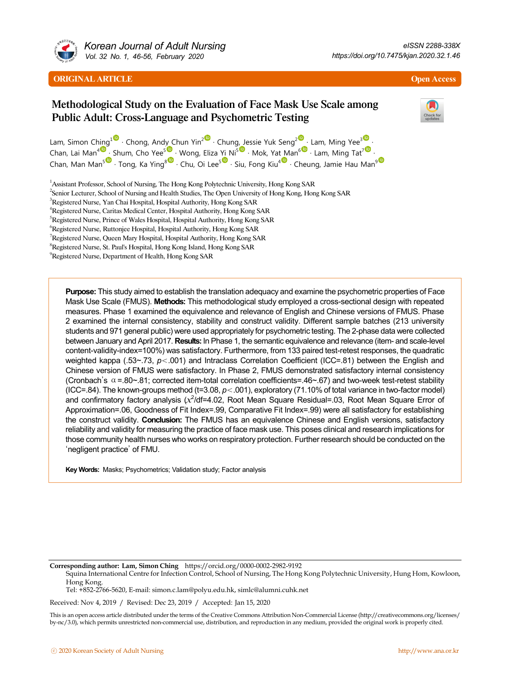

*Korean Journal of Adult Nursing Vol. 32 No. 1, 46-56, February 2020*

# Methodological Study on the Evaluation of Face Mask Use Scale among Public Adult: Cross-Language and Psychometric Testing



Lam, Simon Ching<sup>1</sup> • Chong, Andy Chun Yin<sup>2</sup> • Chung, Jessie Yuk Seng<sup>[2](http://orcid.org/0000-0001-8679-9316) •</sup> Lam, Ming Yee<sup>[3](http://orcid.org/0000-0001-5245-3181) •</sup> Chan, Lai Man<sup>4</sup> · Shum, Cho Yee<sup>s v</sup> · Wong, Eliza Yi Ni<sup>s v</sup> · Mok, Yat Man<sup>[6](http://orcid.org/0000-0002-8980-6152) v</sup> · Lam, Ming Tat<sup>[7](http://orcid.org/0000-0002-5464-7489) v</sup> · Chan, Man Man<sup>s •</sup> · Tong, Ka Ying<sup>8</sup> • Chu, Oi Lee<sup>[5](http://orcid.org/0000-0002-2092-4839)•</sup> · Siu, Fong Kiu<sup>4</sup> • · Cheung, Jamie Hau Man<sup>[9](http://orcid.org/0000-0002-8197-5541)</sup>

<sup>1</sup> Assistant Professor, School of Nursing, The Hong Kong Polytechnic University, Hong Kong SAR

2 Senior Lecturer, School of Nursing and Health Studies, The Open University of Hong Kong, Hong Kong SAR

<sup>3</sup>Registered Nurse, Yan Chai Hospital, Hospital Authority, Hong Kong SAR

4 Registered Nurse, Caritas Medical Center, Hospital Authority, Hong Kong SAR

<sup>5</sup>Registered Nurse, Prince of Wales Hospital, Hospital Authority, Hong Kong SAR

6 Registered Nurse, Ruttonjee Hospital, Hospital Authority, Hong Kong SAR

<sup>7</sup>Registered Nurse, Queen Mary Hospital, Hospital Authority, Hong Kong SAR

8 Registered Nurse, St. Paul's Hospital, Hong Kong Island, Hong Kong SAR

9 Registered Nurse, Department of Health, Hong Kong SAR

**Purpose:** This study aimed to establish the translation adequacy and examine the psychometric properties of Face Mask Use Scale (FMUS). **Methods:** This methodological study employed a cross-sectional design with repeated measures. Phase 1 examined the equivalence and relevance of English and Chinese versions of FMUS. Phase 2 examined the internal consistency, stability and construct validity. Different sample batches (213 university students and 971 general public) were used appropriately for psychometric testing. The 2-phase data were collected between January and April 2017. **Results:** In Phase 1, the semantic equivalence and relevance (item- and scale-level content-validity-index=100%) was satisfactory. Furthermore, from 133 paired test-retest responses, the quadratic weighted kappa (.53~.73,  $p$ <.001) and Intraclass Correlation Coefficient (ICC=.81) between the English and Chinese version of FMUS were satisfactory. In Phase 2, FMUS demonstrated satisfactory internal consistency (Cronbach's  $\alpha$  =.80~.81; corrected item-total correlation coefficients=.46~.67) and two-week test-retest stability (ICC=.84). The known-groups method (t=3.08, *p*<.001), exploratory (71.10% of total variance in two-factor model) and confirmatory factory analysis  $(x^2/df=4.02)$ , Root Mean Square Residual=.03, Root Mean Square Error of Approximation=.06, Goodness of Fit Index=.99, Comparative Fit Index=.99) were all satisfactory for establishing the construct validity. **Conclusion:** The FMUS has an equivalence Chinese and English versions, satisfactory reliability and validity for measuring the practice of face mask use. This poses clinical and research implications for those community health nurses who works on respiratory protection. Further research should be conducted on the 'negligent practice' of FMU.

**Key Words:** Masks; Psychometrics; Validation study; Factor analysis

**Corresponding author: Lam, Simon Ching** https://orcid.org/0000-0002-2982-9192

Squina International Centre for Infection Control, School of Nursing, The Hong Kong Polytechnic University, Hung Hom, Kowloon, Hong Kong.

Tel: +852-2766-5620, E-mail: simon.c.lam@polyu.edu.hk, simlc@alumni.cuhk.net

Received: Nov 4, 2019 / Revised: Dec 23, 2019 / Accepted: Jan 15, 2020

This is an open access article distributed under the terms of the Creative Commons Attribution Non-Commercial License (http://creativecommons.org/licenses/ by-nc/3.0), which permits unrestricted non-commercial use, distribution, and reproduction in any medium, provided the original work is properly cited.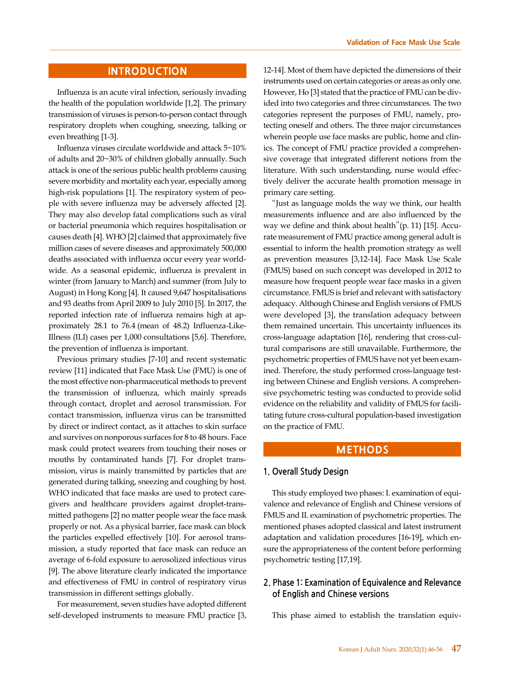## **INTRODUCTION**

Influenza is an acute viral infection, seriously invading the health of the population worldwide [1,2]. The primary transmission of viruses is person-to-person contact through respiratory droplets when coughing, sneezing, talking or even breathing [1-3].

Influenza viruses circulate worldwide and attack 5~10% of adults and 20~30% of children globally annually. Such attack is one of the serious public health problems causing severe morbidity and mortality each year, especially among high-risk populations [1]. The respiratory system of people with severe influenza may be adversely affected [2]. They may also develop fatal complications such as viral or bacterial pneumonia which requires hospitalisation or causes death [4]. WHO [2] claimed that approximately five million cases of severe diseases and approximately 500,000 deaths associated with influenza occur every year worldwide. As a seasonal epidemic, influenza is prevalent in winter (from January to March) and summer (from July to August) in Hong Kong [4]. It caused 9,647 hospitalisations and 93 deaths from April 2009 to July 2010 [5]. In 2017, the reported infection rate of influenza remains high at approximately 28.1 to 76.4 (mean of 48.2) Influenza-Like-Illness (ILI) cases per 1,000 consultations [5,6]. Therefore, the prevention of influenza is important.

Previous primary studies [7-10] and recent systematic review [11] indicated that Face Mask Use (FMU) is one of the most effective non-pharmaceutical methods to prevent the transmission of influenza, which mainly spreads through contact, droplet and aerosol transmission. For contact transmission, influenza virus can be transmitted by direct or indirect contact, as it attaches to skin surface and survives on nonporous surfaces for 8 to 48 hours. Face mask could protect wearers from touching their noses or mouths by contaminated hands [7]. For droplet transmission, virus is mainly transmitted by particles that are generated during talking, sneezing and coughing by host. WHO indicated that face masks are used to protect caregivers and healthcare providers against droplet-transmitted pathogens [2] no matter people wear the face mask properly or not. As a physical barrier, face mask can block the particles expelled effectively [10]. For aerosol transmission, a study reported that face mask can reduce an average of 6-fold exposure to aerosolized infectious virus [9]. The above literature clearly indicated the importance and effectiveness of FMU in control of respiratory virus transmission in different settings globally.

For measurement, seven studies have adopted different self-developed instruments to measure FMU practice [3,

12-14]. Most of them have depicted the dimensions of their instruments used on certain categories or areas as only one. However, Ho [3] stated that the practice of FMU can be divided into two categories and three circumstances. The two categories represent the purposes of FMU, namely, protecting oneself and others. The three major circumstances wherein people use face masks are public, home and clinics. The concept of FMU practice provided a comprehensive coverage that integrated different notions from the literature. With such understanding, nurse would effectively deliver the accurate health promotion message in primary care setting.

"Just as language molds the way we think, our health measurements influence and are also influenced by the way we define and think about health"(p. 11) [15]. Accurate measurement of FMU practice among general adult is essential to inform the health promotion strategy as well as prevention measures [3,12-14]. Face Mask Use Scale (FMUS) based on such concept was developed in 2012 to measure how frequent people wear face masks in a given circumstance. FMUS is brief and relevant with satisfactory adequacy. Although Chinese and English versions of FMUS were developed [3], the translation adequacy between them remained uncertain. This uncertainty influences its cross-language adaptation [16], rendering that cross-cultural comparisons are still unavailable. Furthermore, the psychometric properties of FMUS have not yet been examined. Therefore, the study performed cross-language testing between Chinese and English versions. A comprehensive psychometric testing was conducted to provide solid evidence on the reliability and validity of FMUS for facilitating future cross-cultural population-based investigation on the practice of FMU.

# **METHODS**

## **1. Overall Study Design**

This study employed two phases: I. examination of equivalence and relevance of English and Chinese versions of FMUS and II. examination of psychometric properties. The mentioned phases adopted classical and latest instrument adaptation and validation procedures [16-19], which ensure the appropriateness of the content before performing psychometric testing [17,19].

## **2. Phase 1: Examination of Equivalence and Relevance of English and Chinese versions**

This phase aimed to establish the translation equiv-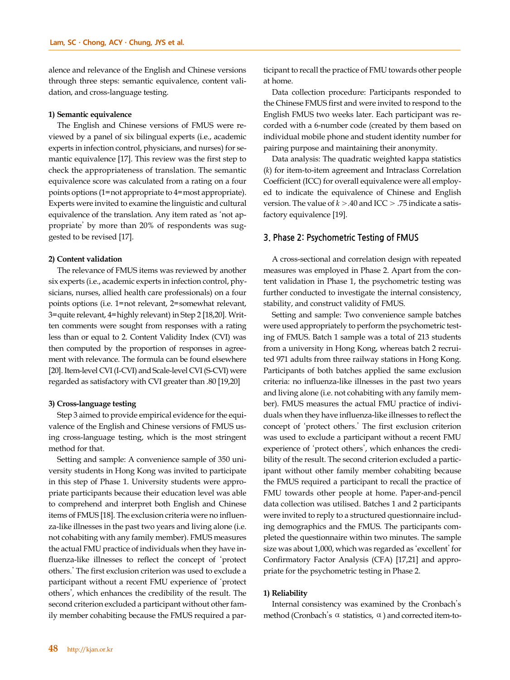alence and relevance of the English and Chinese versions through three steps: semantic equivalence, content validation, and cross-language testing.

#### **1) Semantic equivalence**

The English and Chinese versions of FMUS were reviewed by a panel of six bilingual experts (i.e., academic experts in infection control, physicians, and nurses) for semantic equivalence [17]. This review was the first step to check the appropriateness of translation. The semantic equivalence score was calculated from a rating on a four points options (1=not appropriate to 4=most appropriate). Experts were invited to examine the linguistic and cultural equivalence of the translation. Any item rated as 'not appropriate' by more than 20% of respondents was suggested to be revised [17].

#### **2) Content validation**

The relevance of FMUS items was reviewed by another six experts (i.e., academic experts in infection control, physicians, nurses, allied health care professionals) on a four points options (i.e. 1=not relevant, 2=somewhat relevant, 3=quite relevant, 4=highly relevant) in Step 2 [18,20]. Written comments were sought from responses with a rating less than or equal to 2. Content Validity Index (CVI) was then computed by the proportion of responses in agreement with relevance. The formula can be found elsewhere [20]. Item-level CVI (I-CVI) and Scale-level CVI (S-CVI) were regarded as satisfactory with CVI greater than .80 [19,20]

#### **3) Cross-language testing**

Step 3 aimed to provide empirical evidence for the equivalence of the English and Chinese versions of FMUS using cross-language testing, which is the most stringent method for that.

Setting and sample: A convenience sample of 350 university students in Hong Kong was invited to participate in this step of Phase 1. University students were appropriate participants because their education level was able to comprehend and interpret both English and Chinese items of FMUS [18]. The exclusion criteria were no influenza-like illnesses in the past two years and living alone (i.e. not cohabiting with any family member). FMUS measures the actual FMU practice of individuals when they have influenza-like illnesses to reflect the concept of 'protect others.' The first exclusion criterion was used to exclude a participant without a recent FMU experience of 'protect others', which enhances the credibility of the result. The second criterion excluded a participant without other family member cohabiting because the FMUS required a participant to recall the practice of FMU towards other people at home.

Data collection procedure: Participants responded to the Chinese FMUS first and were invited to respond to the English FMUS two weeks later. Each participant was recorded with a 6-number code (created by them based on individual mobile phone and student identity number for pairing purpose and maintaining their anonymity.

Data analysis: The quadratic weighted kappa statistics (*k*) for item-to-item agreement and Intraclass Correlation Coefficient (ICC) for overall equivalence were all employed to indicate the equivalence of Chinese and English version. The value of *k* >.40 and ICC > .75 indicate a satisfactory equivalence [19].

### **3. Phase 2: Psychometric Testing of FMUS**

A cross-sectional and correlation design with repeated measures was employed in Phase 2. Apart from the content validation in Phase 1, the psychometric testing was further conducted to investigate the internal consistency, stability, and construct validity of FMUS.

Setting and sample: Two convenience sample batches were used appropriately to perform the psychometric testing of FMUS. Batch 1 sample was a total of 213 students from a university in Hong Kong, whereas batch 2 recruited 971 adults from three railway stations in Hong Kong. Participants of both batches applied the same exclusion criteria: no influenza-like illnesses in the past two years and living alone (i.e. not cohabiting with any family member). FMUS measures the actual FMU practice of individuals when they have influenza-like illnesses to reflect the concept of 'protect others.' The first exclusion criterion was used to exclude a participant without a recent FMU experience of 'protect others', which enhances the credibility of the result. The second criterion excluded a participant without other family member cohabiting because the FMUS required a participant to recall the practice of FMU towards other people at home. Paper-and-pencil data collection was utilised. Batches 1 and 2 participants were invited to reply to a structured questionnaire including demographics and the FMUS. The participants completed the questionnaire within two minutes. The sample size was about 1,000, which was regarded as 'excellent' for Confirmatory Factor Analysis (CFA) [17,21] and appropriate for the psychometric testing in Phase 2.

#### **1) Reliability**

Internal consistency was examined by the Cronbach's method (Cronbach's  $\alpha$  statistics,  $\alpha$ ) and corrected item-to-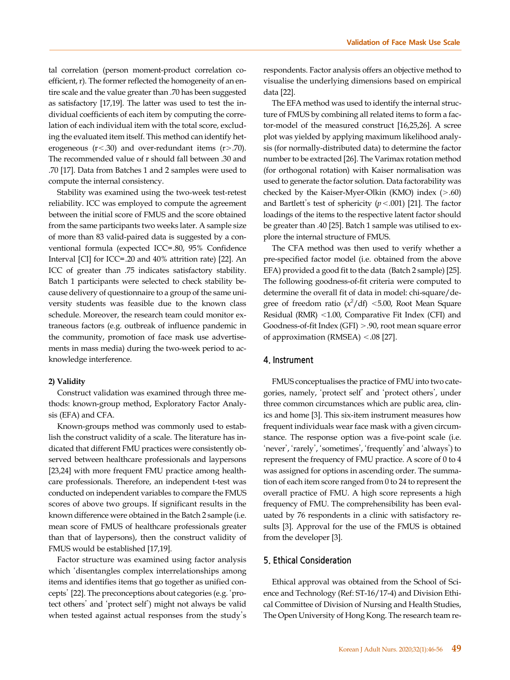tal correlation (person moment-product correlation coefficient, r). The former reflected the homogeneity of an entire scale and the value greater than .70 has been suggested as satisfactory [17,19]. The latter was used to test the individual coefficients of each item by computing the correlation of each individual item with the total score, excluding the evaluated item itself. This method can identify heterogeneous  $(r < .30)$  and over-redundant items  $(r > .70)$ . The recommended value of r should fall between .30 and .70 [17]. Data from Batches 1 and 2 samples were used to compute the internal consistency.

Stability was examined using the two-week test-retest reliability. ICC was employed to compute the agreement between the initial score of FMUS and the score obtained from the same participants two weeks later. A sample size of more than 83 valid-paired data is suggested by a conventional formula (expected ICC=.80, 95% Confidence Interval [CI] for ICC=.20 and 40% attrition rate) [22]. An ICC of greater than .75 indicates satisfactory stability. Batch 1 participants were selected to check stability because delivery of questionnaire to a group of the same university students was feasible due to the known class schedule. Moreover, the research team could monitor extraneous factors (e.g. outbreak of influence pandemic in the community, promotion of face mask use advertisements in mass media) during the two-week period to acknowledge interference.

#### **2) Validity**

Construct validation was examined through three methods: known-group method, Exploratory Factor Analysis (EFA) and CFA.

Known-groups method was commonly used to establish the construct validity of a scale. The literature has indicated that different FMU practices were consistently observed between healthcare professionals and laypersons [23,24] with more frequent FMU practice among healthcare professionals. Therefore, an independent t-test was conducted on independent variables to compare the FMUS scores of above two groups. If significant results in the known difference were obtained in the Batch 2 sample (i.e. mean score of FMUS of healthcare professionals greater than that of laypersons), then the construct validity of FMUS would be established [17,19].

Factor structure was examined using factor analysis which 'disentangles complex interrelationships among items and identifies items that go together as unified concepts' [22]. The preconceptions about categories (e.g. 'protect others' and 'protect self') might not always be valid when tested against actual responses from the study's

respondents. Factor analysis offers an objective method to visualise the underlying dimensions based on empirical data [22].

The EFA method was used to identify the internal structure of FMUS by combining all related items to form a factor-model of the measured construct [16,25,26]. A scree plot was yielded by applying maximum likelihood analysis (for normally-distributed data) to determine the factor number to be extracted [26]. The Varimax rotation method (for orthogonal rotation) with Kaiser normalisation was used to generate the factor solution. Data factorability was checked by the Kaiser-Myer-Olkin (KMO) index (>.60) and Bartlett's test of sphericity (*p*<.001) [21]. The factor loadings of the items to the respective latent factor should be greater than .40 [25]. Batch 1 sample was utilised to explore the internal structure of FMUS.

The CFA method was then used to verify whether a pre-specified factor model (i.e. obtained from the above EFA) provided a good fit to the data (Batch 2 sample) [25]. The following goodness-of-fit criteria were computed to determine the overall fit of data in model: chi-square/degree of freedom ratio  $(x^2/df)$  <5.00, Root Mean Square Residual (RMR) <1.00, Comparative Fit Index (CFI) and Goodness-of-fit Index (GFI) >.90, root mean square error of approximation (RMSEA) <.08 [27].

## **4. Instrument**

FMUS conceptualises the practice of FMU into two categories, namely, 'protect self' and 'protect others', under three common circumstances which are public area, clinics and home [3]. This six-item instrument measures how frequent individuals wear face mask with a given circumstance. The response option was a five-point scale (i.e. 'never', 'rarely', 'sometimes', 'frequently' and 'always') to represent the frequency of FMU practice. A score of 0 to 4 was assigned for options in ascending order. The summation of each item score ranged from 0 to 24 to represent the overall practice of FMU. A high score represents a high frequency of FMU. The comprehensibility has been evaluated by 76 respondents in a clinic with satisfactory results [3]. Approval for the use of the FMUS is obtained from the developer [3].

### **5. Ethical Consideration**

Ethical approval was obtained from the School of Science and Technology (Ref: ST-16/17-4) and Division Ethical Committee of Division of Nursing and Health Studies, The Open University of Hong Kong. The research team re-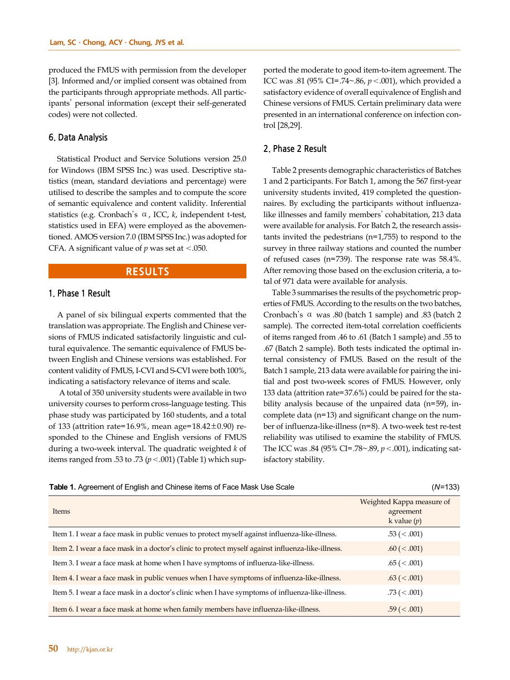produced the FMUS with permission from the developer [3]. Informed and/or implied consent was obtained from the participants through appropriate methods. All participants' personal information (except their self-generated codes) were not collected.

## **6. Data Analysis**

Statistical Product and Service Solutions version 25.0 for Windows (IBM SPSS Inc.) was used. Descriptive statistics (mean, standard deviations and percentage) were utilised to describe the samples and to compute the score of semantic equivalence and content validity. Inferential statistics (e.g. Cronbach's  $\alpha$ , ICC, *k*, independent t-test, statistics used in EFA) were employed as the abovementioned. AMOS version 7.0 (IBM SPSS Inc.) was adopted for CFA. A significant value of  $p$  was set at <.050.

## **RESULTS**

## **1. Phase 1 Result**

A panel of six bilingual experts commented that the translation was appropriate. The English and Chinese versions of FMUS indicated satisfactorily linguistic and cultural equivalence. The semantic equivalence of FMUS between English and Chinese versions was established. For content validity of FMUS, I-CVI and S-CVI were both 100%, indicating a satisfactory relevance of items and scale.

 A total of 350 university students were available in two university courses to perform cross-language testing. This phase study was participated by 160 students, and a total of 133 (attrition rate=16.9%, mean age=18.42±0.90) responded to the Chinese and English versions of FMUS during a two-week interval. The quadratic weighted *k* of items ranged from .53 to .73  $(p < .001)$  (Table 1) which supported the moderate to good item-to-item agreement. The ICC was .81 (95% CI=.74~.86, *p*<.001), which provided a satisfactory evidence of overall equivalence of English and Chinese versions of FMUS. Certain preliminary data were presented in an international conference on infection control [28,29].

## **2. Phase 2 Result**

Table 2 presents demographic characteristics of Batches 1 and 2 participants. For Batch 1, among the 567 first-year university students invited, 419 completed the questionnaires. By excluding the participants without influenzalike illnesses and family members' cohabitation, 213 data were available for analysis. For Batch 2, the research assistants invited the pedestrians (n=1,755) to respond to the survey in three railway stations and counted the number of refused cases (n=739). The response rate was 58.4%. After removing those based on the exclusion criteria, a total of 971 data were available for analysis.

Table 3 summarises the results of the psychometric properties of FMUS. According to the results on the two batches, Cronbach's  $\alpha$  was .80 (batch 1 sample) and .83 (batch 2 sample). The corrected item-total correlation coefficients of items ranged from .46 to .61 (Batch 1 sample) and .55 to .67 (Batch 2 sample). Both tests indicated the optimal internal consistency of FMUS. Based on the result of the Batch 1 sample, 213 data were available for pairing the initial and post two-week scores of FMUS. However, only 133 data (attrition rate=37.6%) could be paired for the stability analysis because of the unpaired data (n=59), incomplete data (n=13) and significant change on the number of influenza-like-illness (n=8). A two-week test re-test reliability was utilised to examine the stability of FMUS. The ICC was .84 (95% CI=.78~.89, *p*<.001), indicating satisfactory stability.

| <b>Table 1.</b> Agreement of English and Chinese items of Face Mask Use Scale<br>$(N=133)$ |  |  |
|--------------------------------------------------------------------------------------------|--|--|
|--------------------------------------------------------------------------------------------|--|--|

| (N=133) |  |
|---------|--|
|---------|--|

| Items                                                                                             | Weighted Kappa measure of<br>agreement<br>k value $(p)$ |
|---------------------------------------------------------------------------------------------------|---------------------------------------------------------|
| Item 1. I wear a face mask in public venues to protect myself against influenza-like-illness.     | $.53 \ (< .001)$                                        |
| Item 2. I wear a face mask in a doctor's clinic to protect myself against influenza-like-illness. | $.60 \ (< .001)$                                        |
| Item 3. I wear a face mask at home when I have symptoms of influenza-like-illness.                | $.65 \ (< .001)$                                        |
| Item 4. I wear a face mask in public venues when I have symptoms of influenza-like-illness.       | $.63 \ (< .001)$                                        |
| Item 5. I wear a face mask in a doctor's clinic when I have symptoms of influenza-like-illness.   | $.73$ ( $< .001$ )                                      |
| Item 6. I wear a face mask at home when family members have influenza-like-illness.               | $.59 \ (< .001)$                                        |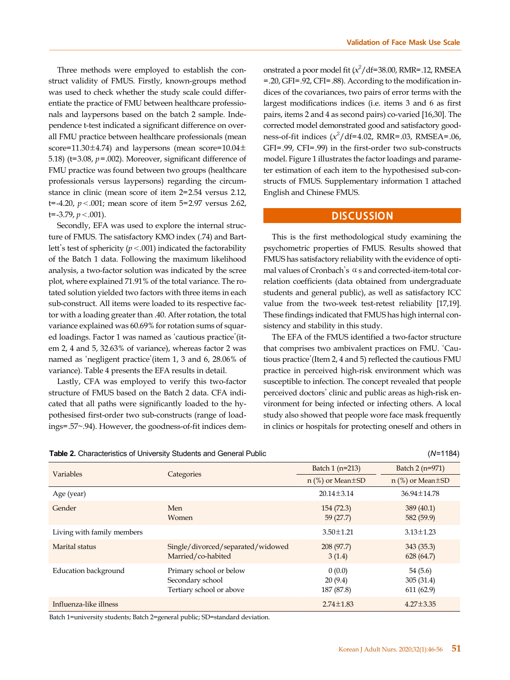Three methods were employed to establish the construct validity of FMUS. Firstly, known-groups method was used to check whether the study scale could differentiate the practice of FMU between healthcare professionals and laypersons based on the batch 2 sample. Independence t-test indicated a significant difference on overall FMU practice between healthcare professionals (mean score=11.30 $\pm$ 4.74) and laypersons (mean score=10.04 $\pm$ 5.18) (t=3.08, *p*=.002). Moreover, significant difference of FMU practice was found between two groups (healthcare professionals versus laypersons) regarding the circumstance in clinic (mean score of item 2=2.54 versus 2.12, t=-4.20, *p*<.001; mean score of item 5=2.97 versus 2.62, t=-3.79, *p*<.001).

Secondly, EFA was used to explore the internal structure of FMUS. The satisfactory KMO index (.74) and Bartlett's test of sphericity  $(p < .001)$  indicated the factorability of the Batch 1 data. Following the maximum likelihood analysis, a two-factor solution was indicated by the scree plot, where explained 71.91% of the total variance. The rotated solution yielded two factors with three items in each sub-construct. All items were loaded to its respective factor with a loading greater than .40. After rotation, the total variance explained was 60.69% for rotation sums of squared loadings. Factor 1 was named as 'cautious practice'(item 2, 4 and 5, 32.63% of variance), whereas factor 2 was named as 'negligent practice'(item 1, 3 and 6, 28.06% of variance). Table 4 presents the EFA results in detail.

Lastly, CFA was employed to verify this two-factor structure of FMUS based on the Batch 2 data. CFA indicated that all paths were significantly loaded to the hypothesised first-order two sub-constructs (range of loadings=.57~.94). However, the goodness-of-fit indices dem-

| Table 2. Characteristics of University Students and General Public | $(N=1184)$ |
|--------------------------------------------------------------------|------------|
|                                                                    |            |

onstrated a poor model fit  $(x^2/\text{df}=38.00$ , RMR=.12, RMSEA =.20, GFI=.92, CFI=.88). According to the modification indices of the covariances, two pairs of error terms with the largest modifications indices (i.e. items 3 and 6 as first pairs, items 2 and 4 as second pairs) co-varied [16,30]. The corrected model demonstrated good and satisfactory goodness-of-fit indices  $(x^2/df=4.02, RMR=.03, RMSEA=.06,$ GFI=.99, CFI=.99) in the first-order two sub-constructs model. Figure 1 illustrates the factor loadings and parameter estimation of each item to the hypothesised sub-constructs of FMUS. Supplementary information 1 attached English and Chinese FMUS.

## **DISCUSSION**

This is the first methodological study examining the psychometric properties of FMUS. Results showed that FMUS has satisfactory reliability with the evidence of optimal values of Cronbach's  $\alpha$  s and corrected-item-total correlation coefficients (data obtained from undergraduate students and general public), as well as satisfactory ICC value from the two-week test-retest reliability [17,19]. These findings indicated that FMUS has high internal consistency and stability in this study.

The EFA of the FMUS identified a two-factor structure that comprises two ambivalent practices on FMU. 'Cautious practice'(Item 2, 4 and 5) reflected the cautious FMU practice in perceived high-risk environment which was susceptible to infection. The concept revealed that people perceived doctors' clinic and public areas as high-risk environment for being infected or infecting others. A local study also showed that people wore face mask frequently in clinics or hospitals for protecting oneself and others in

| Variables                  |                                                                         | Batch 1 (n=213)                 | Batch 2 (n=971)                    |  |
|----------------------------|-------------------------------------------------------------------------|---------------------------------|------------------------------------|--|
|                            | Categories                                                              | $n$ (%) or Mean $\pm$ SD        | $n$ (%) or Mean $\pm$ SD           |  |
| Age (year)                 |                                                                         | $20.14 \pm 3.14$                | $36.94 \pm 14.78$                  |  |
| Gender                     | Men<br><b>Women</b>                                                     | 154(72.3)<br>59(27.7)           | 389(40.1)<br>582 (59.9)            |  |
| Living with family members |                                                                         | $3.50 \pm 1.21$                 | $3.13 \pm 1.23$                    |  |
| Marital status             | Single/divorced/separated/widowed<br>Married/co-habited                 | 208(97.7)<br>3(1.4)             | 343(35.3)<br>628(64.7)             |  |
| Education background       | Primary school or below<br>Secondary school<br>Tertiary school or above | 0(0.0)<br>20(9.4)<br>187 (87.8) | 54(5.6)<br>305(31.4)<br>611 (62.9) |  |
| Influenza-like illness     |                                                                         | $2.74 \pm 1.83$                 | $4.27 \pm 3.35$                    |  |

Batch 1=university students; Batch 2=general public; SD=standard deviation.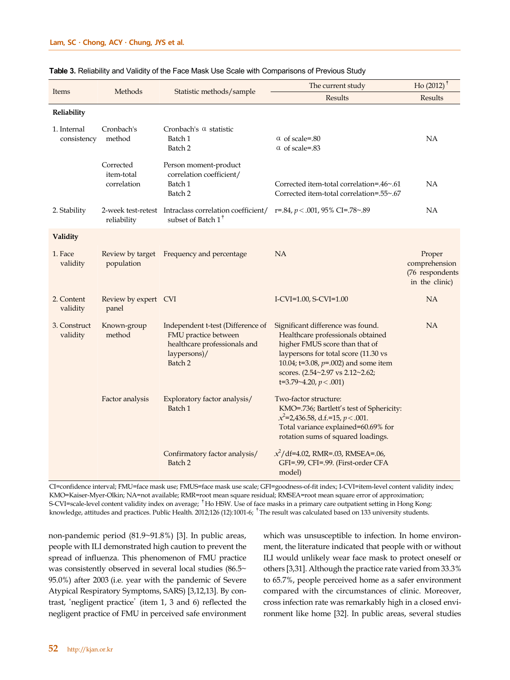|                            |                                        |                                                                                                                      | The current study                                                                                                                                                                                                                                             | $Ho(2012)$ <sup>†</sup>                                      |
|----------------------------|----------------------------------------|----------------------------------------------------------------------------------------------------------------------|---------------------------------------------------------------------------------------------------------------------------------------------------------------------------------------------------------------------------------------------------------------|--------------------------------------------------------------|
| Items                      | Methods                                | Statistic methods/sample                                                                                             | Results                                                                                                                                                                                                                                                       | Results                                                      |
| Reliability                |                                        |                                                                                                                      |                                                                                                                                                                                                                                                               |                                                              |
| 1. Internal<br>consistency | Cronbach's<br>method                   | Cronbach's $\alpha$ statistic<br>Batch 1<br>Batch 2                                                                  | $\alpha$ of scale=.80<br>$\alpha$ of scale=.83                                                                                                                                                                                                                | <b>NA</b>                                                    |
|                            | Corrected<br>item-total<br>correlation | Person moment-product<br>correlation coefficient/<br>Batch 1<br>Batch 2                                              | Corrected item-total correlation=.46~.61<br>Corrected item-total correlation=.55~.67                                                                                                                                                                          | NA                                                           |
| 2. Stability               | reliability                            | 2-week test-retest Intraclass correlation coefficient/<br>subset of Batch 1 <sup>†</sup>                             | r=.84, $p < .001$ , 95% CI=.78~.89                                                                                                                                                                                                                            | <b>NA</b>                                                    |
| Validity                   |                                        |                                                                                                                      |                                                                                                                                                                                                                                                               |                                                              |
| 1. Face<br>validity        | Review by target<br>population         | Frequency and percentage                                                                                             | <b>NA</b>                                                                                                                                                                                                                                                     | Proper<br>comprehension<br>(76 respondents<br>in the clinic) |
| 2. Content<br>validity     | Review by expert CVI<br>panel          |                                                                                                                      | I-CVI=1.00, S-CVI=1.00                                                                                                                                                                                                                                        | NA                                                           |
| 3. Construct<br>validity   | Known-group<br>method                  | Independent t-test (Difference of<br>FMU practice between<br>healthcare professionals and<br>laypersons)/<br>Batch 2 | Significant difference was found.<br>Healthcare professionals obtained<br>higher FMUS score than that of<br>laypersons for total score (11.30 vs<br>10.04; t=3.08, $p=0.002$ ) and some item<br>scores. (2.54~2.97 vs 2.12~2.62;<br>t=3.79~4.20, $p < .001$ ) | NA                                                           |
|                            | Factor analysis                        | Exploratory factor analysis/<br>Batch 1                                                                              | Two-factor structure:<br>KMO=.736; Bartlett's test of Sphericity:<br>$x^2$ =2,436.58, d.f.=15, p < .001.<br>Total variance explained=60.69% for<br>rotation sums of squared loadings.                                                                         |                                                              |
|                            |                                        | Confirmatory factor analysis/<br>Batch 2                                                                             | $x^2$ /df=4.02, RMR=.03, RMSEA=.06,<br>GFI=.99, CFI=.99. (First-order CFA<br>model)                                                                                                                                                                           |                                                              |

#### **Table 3.** Reliability and Validity of the Face Mask Use Scale with Comparisons of Previous Study

CI=confidence interval; FMU=face mask use; FMUS=face mask use scale; GFI=goodness-of-fit index; I-CVI=item-level content validity index; KMO=Kaiser-Myer-Olkin; NA=not available; RMR=root mean square residual; RMSEA=root mean square error of approximation; S-CVI=scale-level content validity index on average; <sup>†</sup>Ho HSW. Use of face masks in a primary care outpatient setting in Hong Kong: knowledge, attitudes and practices. Public Health. 2012;126 (12):1001-6; <sup>†</sup>The result was calculated based on 133 university students.

non-pandemic period (81.9~91.8%) [3]. In public areas, people with ILI demonstrated high caution to prevent the spread of influenza. This phenomenon of FMU practice was consistently observed in several local studies (86.5~ 95.0%) after 2003 (i.e. year with the pandemic of Severe Atypical Respiratory Symptoms, SARS) [3,12,13]. By contrast, 'negligent practice' (item 1, 3 and 6) reflected the negligent practice of FMU in perceived safe environment

which was unsusceptible to infection. In home environment, the literature indicated that people with or without ILI would unlikely wear face mask to protect oneself or others [3,31]. Although the practice rate varied from 33.3% to 65.7%, people perceived home as a safer environment compared with the circumstances of clinic. Moreover, cross infection rate was remarkably high in a closed environment like home [32]. In public areas, several studies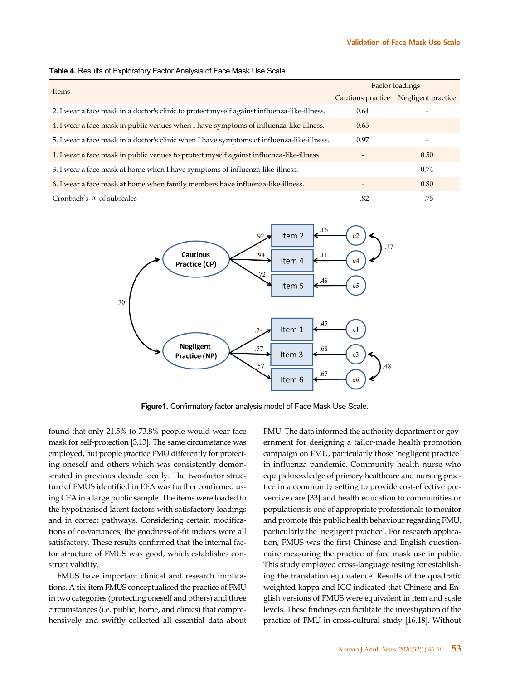|                                                                                              | Factor loadings   |                    |  |
|----------------------------------------------------------------------------------------------|-------------------|--------------------|--|
| Items                                                                                        | Cautious practice | Negligent practice |  |
| 2. I wear a face mask in a doctor's clinic to protect myself against influenza-like-illness. | 0.64              |                    |  |
| 4. I wear a face mask in public venues when I have symptoms of influenza-like-illness.       | 0.65              |                    |  |
| 5. I wear a face mask in a doctor's clinic when I have symptoms of influenza-like-illness.   | 0.97              |                    |  |
| 1. I wear a face mask in public venues to protect myself against influenza-like-illness      |                   | 0.50               |  |
| 3. I wear a face mask at home when I have symptoms of influenza-like-illness.                |                   | 0.74               |  |
| 6. I wear a face mask at home when family members have influenza-like-illness.               |                   | 0.80               |  |
| Cronbach's $\alpha$ of subscales                                                             | .82               | .75                |  |





**Figure1.** Confirmatory factor analysis model of Face Mask Use Scale.

found that only 21.5% to 73.8% people would wear face mask for self-protection [3,13]. The same circumstance was employed, but people practice FMU differently for protecting oneself and others which was consistently demonstrated in previous decade locally. The two-factor structure of FMUS identified in EFA was further confirmed using CFA in a large public sample. The items were loaded to the hypothesised latent factors with satisfactory loadings and in correct pathways. Considering certain modifications of co-variances, the goodness-of-fit indices were all satisfactory. These results confirmed that the internal factor structure of FMUS was good, which establishes construct validity.

FMUS have important clinical and research implications. A six-item FMUS conceptualised the practice of FMU in two categories (protecting oneself and others) and three circumstances (i.e. public, home, and clinics) that comprehensively and swiftly collected all essential data about FMU. The data informed the authority department or government for designing a tailor-made health promotion campaign on FMU, particularly those 'negligent practice' in influenza pandemic. Community health nurse who equips knowledge of primary healthcare and nursing practice in a community setting to provide cost-effective preventive care [33] and health education to communities or populations is one of appropriate professionals to monitor and promote this public health behaviour regarding FMU, particularly the 'negligent practice'. For research application, FMUS was the first Chinese and English questionnaire measuring the practice of face mask use in public. This study employed cross-language testing for establishing the translation equivalence. Results of the quadratic weighted kappa and ICC indicated that Chinese and English versions of FMUS were equivalent in item and scale levels. These findings can facilitate the investigation of the practice of FMU in cross-cultural study [16,18]. Without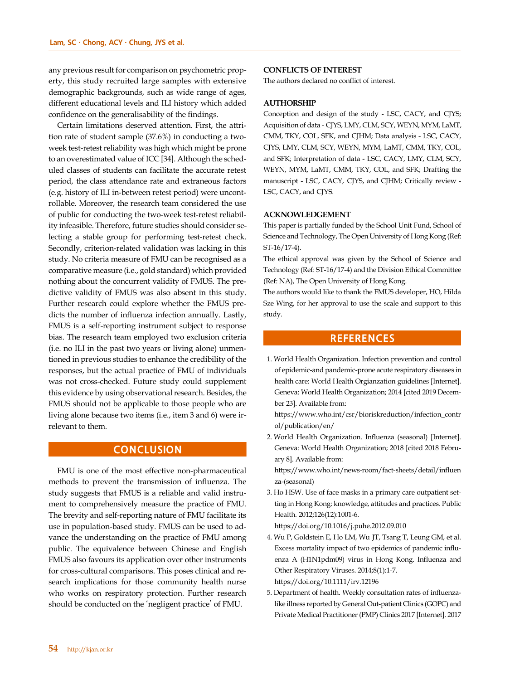any previous result for comparison on psychometric property, this study recruited large samples with extensive demographic backgrounds, such as wide range of ages, different educational levels and ILI history which added confidence on the generalisability of the findings.

Certain limitations deserved attention. First, the attrition rate of student sample (37.6%) in conducting a twoweek test-retest reliability was high which might be prone to an overestimated value of ICC [34]. Although the scheduled classes of students can facilitate the accurate retest period, the class attendance rate and extraneous factors (e.g. history of ILI in-between retest period) were uncontrollable. Moreover, the research team considered the use of public for conducting the two-week test-retest reliability infeasible. Therefore, future studies should consider selecting a stable group for performing test-retest check. Secondly, criterion-related validation was lacking in this study. No criteria measure of FMU can be recognised as a comparative measure (i.e., gold standard) which provided nothing about the concurrent validity of FMUS. The predictive validity of FMUS was also absent in this study. Further research could explore whether the FMUS predicts the number of influenza infection annually. Lastly, FMUS is a self-reporting instrument subject to response bias. The research team employed two exclusion criteria (i.e. no ILI in the past two years or living alone) unmentioned in previous studies to enhance the credibility of the responses, but the actual practice of FMU of individuals was not cross-checked. Future study could supplement this evidence by using observational research. Besides, the FMUS should not be applicable to those people who are living alone because two items (i.e., item 3 and 6) were irrelevant to them.

# **CONCLUSION**

FMU is one of the most effective non-pharmaceutical methods to prevent the transmission of influenza. The study suggests that FMUS is a reliable and valid instrument to comprehensively measure the practice of FMU. The brevity and self-reporting nature of FMU facilitate its use in population-based study. FMUS can be used to advance the understanding on the practice of FMU among public. The equivalence between Chinese and English FMUS also favours its application over other instruments for cross-cultural comparisons. This poses clinical and research implications for those community health nurse who works on respiratory protection. Further research should be conducted on the 'negligent practice' of FMU.

#### **CONFLICTS OF INTEREST**

The authors declared no conflict of interest.

## **AUTHORSHIP**

Conception and design of the study - LSC, CACY, and CJYS; Acquisition of data - CJYS, LMY, CLM, SCY, WEYN, MYM, LaMT, CMM, TKY, COL, SFK, and CJHM; Data analysis - LSC, CACY, CJYS, LMY, CLM, SCY, WEYN, MYM, LaMT, CMM, TKY, COL, and SFK; Interpretation of data - LSC, CACY, LMY, CLM, SCY, WEYN, MYM, LaMT, CMM, TKY, COL, and SFK; Drafting the manuscript - LSC, CACY, CJYS, and CJHM; Critically review - LSC, CACY, and CJYS.

#### **ACKNOWLEDGEMENT**

This paper is partially funded by the School Unit Fund, School of Science and Technology, The Open University of Hong Kong (Ref: ST-16/17-4).

The ethical approval was given by the School of Science and Technology (Ref: ST-16/17-4) and the Division Ethical Committee (Ref: NA), The Open University of Hong Kong.

The authors would like to thank the FMUS developer, HO, Hilda Sze Wing, for her approval to use the scale and support to this study.

# **REFERENCES**

1. World Health Organization. Infection prevention and control of epidemic-and pandemic-prone acute respiratory diseases in health care: World Health Orgianzation guidelines [Internet]. Geneva: World Health Organization; 2014 [cited 2019 December 23]. Available from:

[https://www.who.int/csr/bioriskreduction/infection\\_contr](https://www.who.int/csr/bioriskreduction/infection_control/publication/en/) ol/publication/en/

2. World Health Organization. Influenza (seasonal) [Internet]. Geneva: World Health Organization; 2018 [cited 2018 February 8]. Available from:

[https://www.who.int/news-room/fact-sheets/detail/influen](https://www.who.int/news-room/fact-sheets/detail/influenza-(seasonal)) za-(seasonal)

3. Ho HSW. Use of face masks in a primary care outpatient setting in Hong Kong: knowledge, attitudes and practices. Public Health. 2012;126(12):1001-6.

https://doi.org/10.1016/j.puhe.2012.09.010

- 4. Wu P, Goldstein E, Ho LM, Wu JT, Tsang T, Leung GM, et al. Excess mortality impact of two epidemics of pandemic influenza A (H1N1pdm09) virus in Hong Kong. Influenza and Other Respiratory Viruses. 2014;8(1):1-7. https://doi.org/10.1111/irv.12196
- 5. Department of health. Weekly consultation rates of influenzalike illness reported by General Out-patient Clinics (GOPC) and Private Medical Practitioner (PMP) Clinics 2017 [Internet]. 2017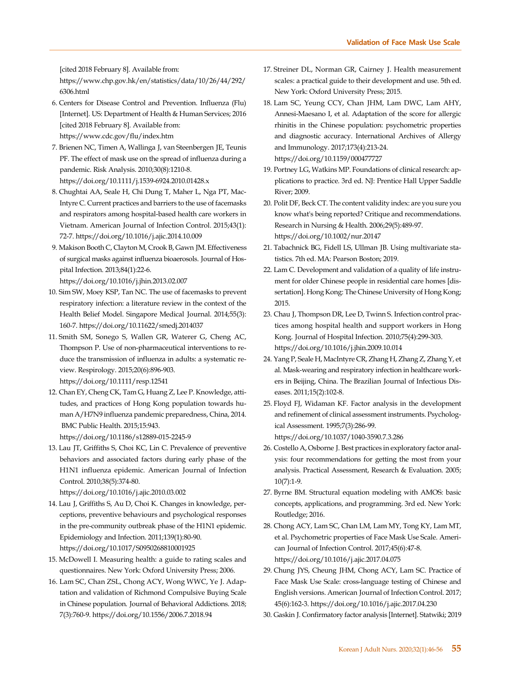[cited 2018 February 8]. Available from:

[https://www.chp.gov.hk/en/statistics/data/10/26/44/292/](https://www.chp.gov.hk/en/statistics/data/10/26/44/292/6306.html) 6306.html

- 6. Centers for Disease Control and Prevention. Influenza (Flu) [Internet]. US: Department of Health & Human Services; 2016 [cited 2018 February 8]. Available from: https://www.cdc.gov/flu/index.htm
- 7. Brienen NC, Timen A, Wallinga J, van Steenbergen JE, Teunis PF. The effect of mask use on the spread of influenza during a pandemic. Risk Analysis. 2010;30(8):1210-8. https://doi.org/10.1111/j.1539-6924.2010.01428.x
- 8. Chughtai AA, Seale H, Chi Dung T, Maher L, Nga PT, Mac-Intyre C. Current practices and barriers to the use of facemasks and respirators among hospital-based health care workers in Vietnam. American Journal of Infection Control. 2015;43(1): 72-7. https://doi.org/10.1016/j.ajic.2014.10.009
- 9. Makison Booth C, Clayton M, Crook B, Gawn JM. Effectiveness of surgical masks against influenza bioaerosols. Journal of Hospital Infection. 2013;84(1):22-6.

https://doi.org/10.1016/j.jhin.2013.02.007

- 10. Sim SW, Moey KSP, Tan NC. The use of facemasks to prevent respiratory infection: a literature review in the context of the Health Belief Model. Singapore Medical Journal. 2014;55(3): 160-7. https://doi.org/10.11622/smedj.2014037
- 11. Smith SM, Sonego S, Wallen GR, Waterer G, Cheng AC, Thompson P. Use of non-pharmaceutical interventions to reduce the transmission of influenza in adults: a systematic review. Respirology. 2015;20(6):896-903. https://doi.org/10.1111/resp.12541
- 12. Chan EY, Cheng CK, Tam G, Huang Z, Lee P. Knowledge, attitudes, and practices of Hong Kong population towards human A/H7N9 influenza pandemic preparedness, China, 2014. BMC Public Health. 2015;15:943. https://doi.org/10.1186/s12889-015-2245-9
- 13. Lau JT, Griffiths S, Choi KC, Lin C. Prevalence of preventive behaviors and associated factors during early phase of the H1N1 influenza epidemic. American Journal of Infection Control. 2010;38(5):374-80.

https://doi.org/10.1016/j.ajic.2010.03.002

- 14. Lau J, Griffiths S, Au D, Choi K. Changes in knowledge, perceptions, preventive behaviours and psychological responses in the pre-community outbreak phase of the H1N1 epidemic. Epidemiology and Infection. 2011;139(1):80-90. https://doi.org/10.1017/S0950268810001925
- 15. McDowell I. Measuring health: a guide to rating scales and questionnaires. New York: Oxford University Press; 2006.
- 16. Lam SC, Chan ZSL, Chong ACY, Wong WWC, Ye J. Adaptation and validation of Richmond Compulsive Buying Scale in Chinese population. Journal of Behavioral Addictions. 2018; 7(3):760-9. https://doi.org/10.1556/2006.7.2018.94
- 17. Streiner DL, Norman GR, Cairney J. Health measurement scales: a practical guide to their development and use. 5th ed. New York: Oxford University Press; 2015.
- 18. Lam SC, Yeung CCY, Chan JHM, Lam DWC, Lam AHY, Annesi-Maesano I, et al. Adaptation of the score for allergic rhinitis in the Chinese population: psychometric properties and diagnostic accuracy. International Archives of Allergy and Immunology. 2017;173(4):213-24. https://doi.org/10.1159/000477727
- 19. Portney LG, Watkins MP. Foundations of clinical research: applications to practice. 3rd ed. NJ: Prentice Hall Upper Saddle River; 2009.
- 20. Polit DF, Beck CT. The content validity index: are you sure you know what's being reported? Critique and recommendations. Research in Nursing & Health. 2006;29(5):489-97. https://doi.org/10.1002/nur.20147
- 21. Tabachnick BG, Fidell LS, Ullman JB. Using multivariate statistics. 7th ed. MA: Pearson Boston; 2019.
- 22. Lam C. Development and validation of a quality of life instrument for older Chinese people in residential care homes [dissertation]. Hong Kong: The Chinese University of Hong Kong; 2015.
- 23. Chau J, Thompson DR, Lee D, Twinn S. Infection control practices among hospital health and support workers in Hong Kong. Journal of Hospital Infection. 2010;75(4):299-303. https://doi.org/10.1016/j.jhin.2009.10.014
- 24. Yang P, Seale H, MacIntyre CR, Zhang H, Zhang Z, Zhang Y, et al. Mask-wearing and respiratory infection in healthcare workers in Beijing, China. The Brazilian Journal of Infectious Diseases. 2011;15(2):102-8.
- 25. Floyd FJ, Widaman KF. Factor analysis in the development and refinement of clinical assessment instruments. Psychological Assessment. 1995;7(3):286-99. https://doi.org/10.1037/1040-3590.7.3.286
- 26. Costello A, Osborne J. Best practices in exploratory factor analysis: four recommendations for getting the most from your analysis. Practical Assessment, Research & Evaluation. 2005; 10(7):1-9.
- 27. Byrne BM. Structural equation modeling with AMOS: basic concepts, applications, and programming. 3rd ed. New York: Routledge; 2016.
- 28. Chong ACY, Lam SC, Chan LM, Lam MY, Tong KY, Lam MT, et al. Psychometric properties of Face Mask Use Scale. American Journal of Infection Control. 2017;45(6):47-8. https://doi.org/10.1016/j.ajic.2017.04.075
- 29. Chung JYS, Cheung JHM, Chong ACY, Lam SC. Practice of Face Mask Use Scale: cross-language testing of Chinese and English versions. American Journal of Infection Control. 2017; 45(6):162-3. https://doi.org/10.1016/j.ajic.2017.04.230
- 30. Gaskin J. Confirmatory factor analysis [Internet]. Statwiki; 2019